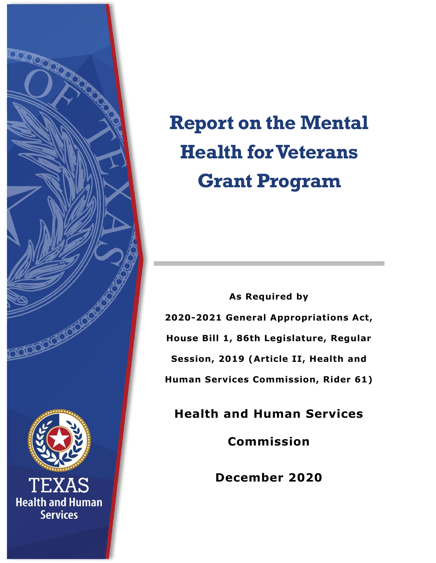

# **Report on the Mental Health for Veterans Grant Program**

**As Required by 2020-2021 General Appropriations Act, House Bill 1, 86th Legislature, Regular Session, 2019 (Article II, Health and Human Services Commission, Rider 61)**

**Health and Human Services** 

**Commission**

**December 2020**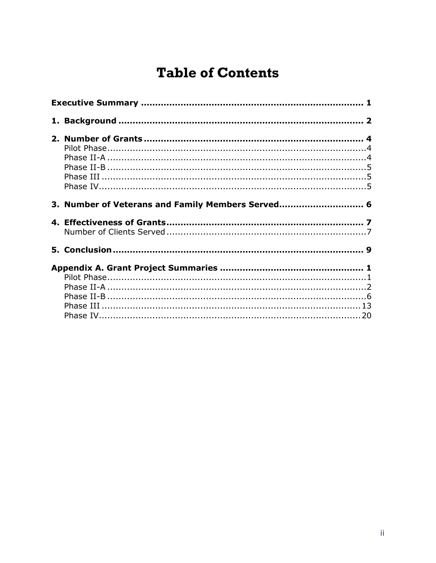# **Table of Contents**

| 3. Number of Veterans and Family Members Served 6 |  |  |
|---------------------------------------------------|--|--|
|                                                   |  |  |
|                                                   |  |  |
|                                                   |  |  |
|                                                   |  |  |
|                                                   |  |  |
|                                                   |  |  |
|                                                   |  |  |
|                                                   |  |  |
|                                                   |  |  |
|                                                   |  |  |
|                                                   |  |  |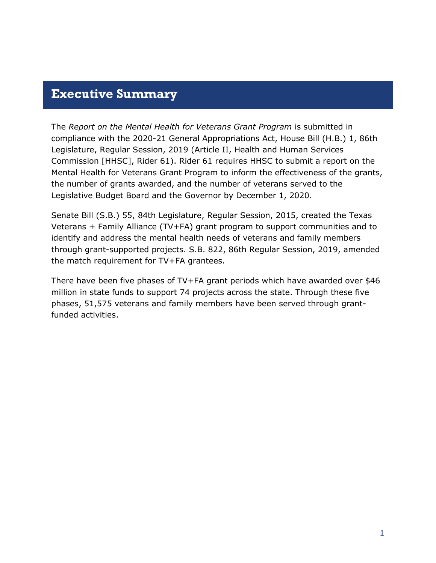### <span id="page-2-0"></span>**Executive Summary**

The *Report on the Mental Health for Veterans Grant Program* is submitted in compliance with the 2020-21 General Appropriations Act, House Bill (H.B.) 1, 86th Legislature, Regular Session, 2019 (Article II, Health and Human Services Commission [HHSC], Rider 61). Rider 61 requires HHSC to submit a report on the Mental Health for Veterans Grant Program to inform the effectiveness of the grants, the number of grants awarded, and the number of veterans served to the Legislative Budget Board and the Governor by December 1, 2020.

Senate Bill (S.B.) 55, 84th Legislature, Regular Session, 2015, created the Texas Veterans + Family Alliance (TV+FA) grant program to support communities and to identify and address the mental health needs of veterans and family members through grant-supported projects. S.B. 822, 86th Regular Session, 2019, amended the match requirement for TV+FA grantees.

There have been five phases of TV+FA grant periods which have awarded over \$46 million in state funds to support 74 projects across the state. Through these five phases, 51,575 veterans and family members have been served through grantfunded activities.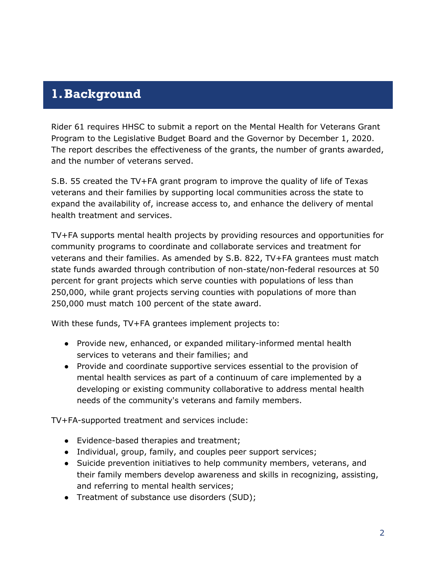### <span id="page-3-0"></span>**1.Background**

Rider 61 requires HHSC to submit a report on the Mental Health for Veterans Grant Program to the Legislative Budget Board and the Governor by December 1, 2020. The report describes the effectiveness of the grants, the number of grants awarded, and the number of veterans served.

S.B. 55 created the TV+FA grant program to improve the quality of life of Texas veterans and their families by supporting local communities across the state to expand the availability of, increase access to, and enhance the delivery of mental health treatment and services.

TV+FA supports mental health projects by providing resources and opportunities for community programs to coordinate and collaborate services and treatment for veterans and their families. As amended by S.B. 822, TV+FA grantees must match state funds awarded through contribution of non-state/non-federal resources at 50 percent for grant projects which serve counties with populations of less than 250,000, while grant projects serving counties with populations of more than 250,000 must match 100 percent of the state award.

With these funds, TV+FA grantees implement projects to:

- Provide new, enhanced, or expanded military-informed mental health services to veterans and their families; and
- Provide and coordinate supportive services essential to the provision of mental health services as part of a continuum of care implemented by a developing or existing community collaborative to address mental health needs of the community's veterans and family members.

TV+FA-supported treatment and services include:

- Evidence-based therapies and treatment;
- Individual, group, family, and couples peer support services;
- Suicide prevention initiatives to help community members, veterans, and their family members develop awareness and skills in recognizing, assisting, and referring to mental health services;
- Treatment of substance use disorders (SUD);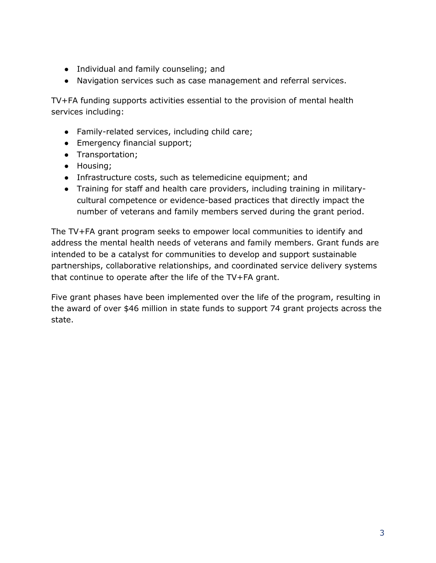- Individual and family counseling; and
- Navigation services such as case management and referral services.

TV+FA funding supports activities essential to the provision of mental health services including:

- Family-related services, including child care;
- Emergency financial support;
- Transportation;
- Housing;
- Infrastructure costs, such as telemedicine equipment; and
- Training for staff and health care providers, including training in militarycultural competence or evidence-based practices that directly impact the number of veterans and family members served during the grant period.

The TV+FA grant program seeks to empower local communities to identify and address the mental health needs of veterans and family members. Grant funds are intended to be a catalyst for communities to develop and support sustainable partnerships, collaborative relationships, and coordinated service delivery systems that continue to operate after the life of the TV+FA grant.

Five grant phases have been implemented over the life of the program, resulting in the award of over \$46 million in state funds to support 74 grant projects across the state.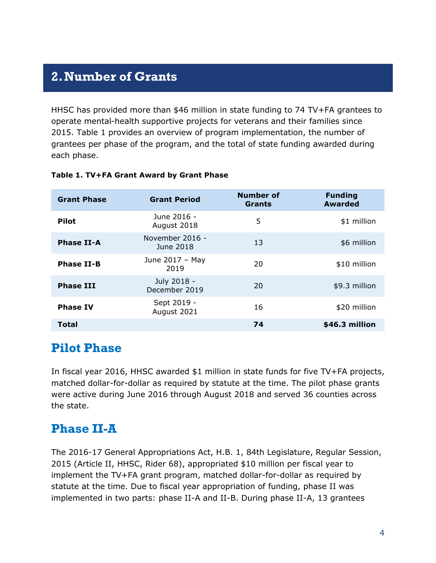# <span id="page-5-0"></span>**2.Number of Grants**

HHSC has provided more than \$46 million in state funding to 74 TV+FA grantees to operate mental-health supportive projects for veterans and their families since 2015. Table 1 provides an overview of program implementation, the number of grantees per phase of the program, and the total of state funding awarded during each phase.

| <b>Grant Phase</b> | <b>Grant Period</b>          | <b>Number of</b><br><b>Grants</b> | <b>Funding</b><br><b>Awarded</b> |
|--------------------|------------------------------|-----------------------------------|----------------------------------|
| <b>Pilot</b>       | June 2016 -<br>August 2018   | 5                                 | \$1 million                      |
| <b>Phase II-A</b>  | November 2016 -<br>June 2018 | 13                                | \$6 million                      |
| <b>Phase II-B</b>  | June 2017 - May<br>2019      | 20                                | \$10 million                     |
| <b>Phase III</b>   | July 2018 -<br>December 2019 | 20                                | \$9.3 million                    |
| <b>Phase IV</b>    | Sept 2019 -<br>August 2021   | 16                                | \$20 million                     |
| <b>Total</b>       |                              | 74                                | \$46.3 million                   |

#### **Table 1. TV+FA Grant Award by Grant Phase**

### <span id="page-5-1"></span>**Pilot Phase**

In fiscal year 2016, HHSC awarded \$1 million in state funds for five TV+FA projects, matched dollar-for-dollar as required by statute at the time. The pilot phase grants were active during June 2016 through August 2018 and served 36 counties across the state.

### <span id="page-5-2"></span>**Phase II-A**

The 2016-17 General Appropriations Act, H.B. 1, 84th Legislature, Regular Session, 2015 (Article II, HHSC, Rider 68), appropriated \$10 million per fiscal year to implement the TV+FA grant program, matched dollar-for-dollar as required by statute at the time. Due to fiscal year appropriation of funding, phase II was implemented in two parts: phase II-A and II-B. During phase II-A, 13 grantees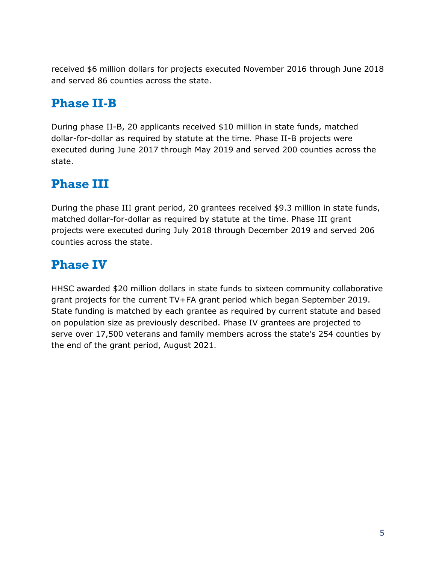received \$6 million dollars for projects executed November 2016 through June 2018 and served 86 counties across the state.

# <span id="page-6-0"></span>**Phase II-B**

During phase II-B, 20 applicants received \$10 million in state funds, matched dollar-for-dollar as required by statute at the time. Phase II-B projects were executed during June 2017 through May 2019 and served 200 counties across the state.

# <span id="page-6-1"></span>**Phase III**

During the phase III grant period, 20 grantees received \$9.3 million in state funds, matched dollar-for-dollar as required by statute at the time. Phase III grant projects were executed during July 2018 through December 2019 and served 206 counties across the state.

# <span id="page-6-2"></span>**Phase IV**

HHSC awarded \$20 million dollars in state funds to sixteen community collaborative grant projects for the current TV+FA grant period which began September 2019. State funding is matched by each grantee as required by current statute and based on population size as previously described. Phase IV grantees are projected to serve over 17,500 veterans and family members across the state's 254 counties by the end of the grant period, August 2021.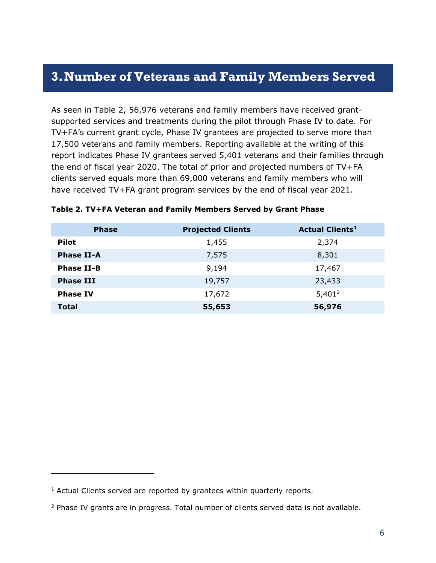### <span id="page-7-0"></span>**3.Number of Veterans and Family Members Served**

As seen in Table 2, 56,976 veterans and family members have received grantsupported services and treatments during the pilot through Phase IV to date. For TV+FA's current grant cycle, Phase IV grantees are projected to serve more than 17,500 veterans and family members. Reporting available at the writing of this report indicates Phase IV grantees served 5,401 veterans and their families through the end of fiscal year 2020. The total of prior and projected numbers of TV+FA clients served equals more than 69,000 veterans and family members who will have received TV+FA grant program services by the end of fiscal year 2021.

| <b>Phase</b>      | <b>Projected Clients</b> | <b>Actual Clients<sup>1</sup></b> |
|-------------------|--------------------------|-----------------------------------|
| <b>Pilot</b>      | 1,455                    | 2,374                             |
| <b>Phase II-A</b> | 7,575                    | 8,301                             |
| <b>Phase II-B</b> | 9,194                    | 17,467                            |
| <b>Phase III</b>  | 19,757                   | 23,433                            |
| <b>Phase IV</b>   | 17,672                   | $5,401^2$                         |
| <b>Total</b>      | 55,653                   | 56,976                            |

#### **Table 2. TV+FA Veteran and Family Members Served by Grant Phase**

 $\overline{a}$ 

<sup>&</sup>lt;sup>1</sup> Actual Clients served are reported by grantees within quarterly reports.

<sup>&</sup>lt;sup>2</sup> Phase IV grants are in progress. Total number of clients served data is not available.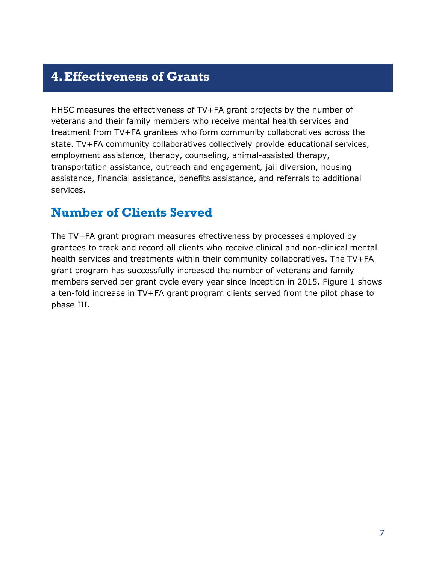### <span id="page-8-0"></span>**4.Effectiveness of Grants**

HHSC measures the effectiveness of TV+FA grant projects by the number of veterans and their family members who receive mental health services and treatment from TV+FA grantees who form community collaboratives across the state. TV+FA community collaboratives collectively provide educational services, employment assistance, therapy, counseling, animal-assisted therapy, transportation assistance, outreach and engagement, jail diversion, housing assistance, financial assistance, benefits assistance, and referrals to additional services.

### <span id="page-8-1"></span>**Number of Clients Served**

The TV+FA grant program measures effectiveness by processes employed by grantees to track and record all clients who receive clinical and non-clinical mental health services and treatments within their community collaboratives. The TV+FA grant program has successfully increased the number of veterans and family members served per grant cycle every year since inception in 2015. Figure 1 shows a ten-fold increase in TV+FA grant program clients served from the pilot phase to phase III.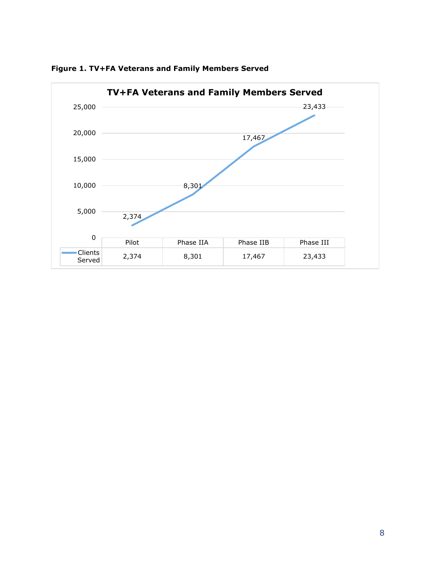

**Figure 1. TV+FA Veterans and Family Members Served**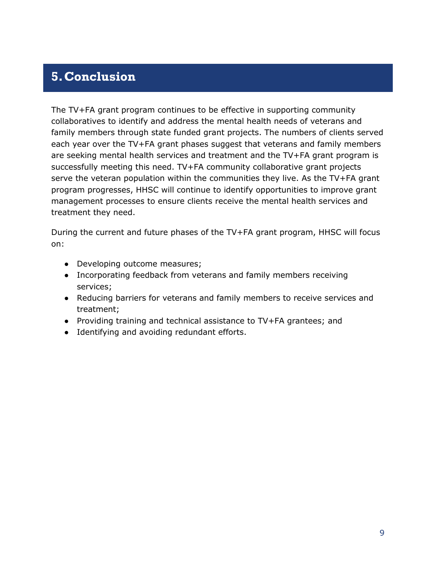# <span id="page-10-0"></span>**5.Conclusion**

The TV+FA grant program continues to be effective in supporting community collaboratives to identify and address the mental health needs of veterans and family members through state funded grant projects. The numbers of clients served each year over the TV+FA grant phases suggest that veterans and family members are seeking mental health services and treatment and the TV+FA grant program is successfully meeting this need. TV+FA community collaborative grant projects serve the veteran population within the communities they live. As the TV+FA grant program progresses, HHSC will continue to identify opportunities to improve grant management processes to ensure clients receive the mental health services and treatment they need.

During the current and future phases of the TV+FA grant program, HHSC will focus on:

- Developing outcome measures;
- Incorporating feedback from veterans and family members receiving services;
- Reducing barriers for veterans and family members to receive services and treatment;
- Providing training and technical assistance to TV+FA grantees; and
- Identifying and avoiding redundant efforts.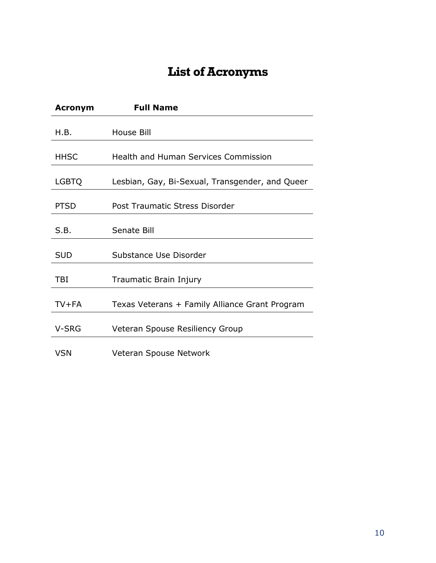# **List of Acronyms**

| <b>Acronym</b> | <b>Full Name</b>                                |
|----------------|-------------------------------------------------|
| H.B.           | House Bill                                      |
| <b>HHSC</b>    | Health and Human Services Commission            |
| <b>LGBTQ</b>   | Lesbian, Gay, Bi-Sexual, Transgender, and Queer |
| <b>PTSD</b>    | Post Traumatic Stress Disorder                  |
| S.B.           | Senate Bill                                     |
| <b>SUD</b>     | Substance Use Disorder                          |
| TBI            | Traumatic Brain Injury                          |
| $TV + FA$      | Texas Veterans + Family Alliance Grant Program  |
| V-SRG          | Veteran Spouse Resiliency Group                 |
| VSN            | Veteran Spouse Network                          |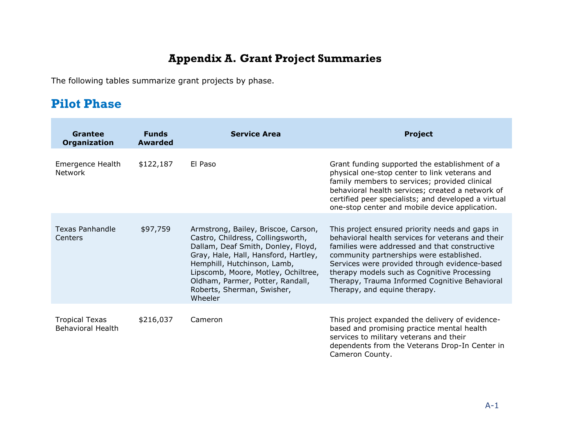## **Appendix A. Grant Project Summaries**

The following tables summarize grant projects by phase.

# **Pilot Phase**

<span id="page-12-1"></span><span id="page-12-0"></span>

| Grantee<br><b>Organization</b>                    | <b>Funds</b><br><b>Awarded</b> | <b>Service Area</b>                                                                                                                                                                                                                                                                                       | <b>Project</b>                                                                                                                                                                                                                                                                                                                                                                     |
|---------------------------------------------------|--------------------------------|-----------------------------------------------------------------------------------------------------------------------------------------------------------------------------------------------------------------------------------------------------------------------------------------------------------|------------------------------------------------------------------------------------------------------------------------------------------------------------------------------------------------------------------------------------------------------------------------------------------------------------------------------------------------------------------------------------|
| Emergence Health<br>Network                       | \$122,187                      | El Paso                                                                                                                                                                                                                                                                                                   | Grant funding supported the establishment of a<br>physical one-stop center to link veterans and<br>family members to services; provided clinical<br>behavioral health services; created a network of<br>certified peer specialists; and developed a virtual<br>one-stop center and mobile device application.                                                                      |
| <b>Texas Panhandle</b><br>Centers                 | \$97,759                       | Armstrong, Bailey, Briscoe, Carson,<br>Castro, Childress, Collingsworth,<br>Dallam, Deaf Smith, Donley, Floyd,<br>Gray, Hale, Hall, Hansford, Hartley,<br>Hemphill, Hutchinson, Lamb,<br>Lipscomb, Moore, Motley, Ochiltree,<br>Oldham, Parmer, Potter, Randall,<br>Roberts, Sherman, Swisher,<br>Wheeler | This project ensured priority needs and gaps in<br>behavioral health services for veterans and their<br>families were addressed and that constructive<br>community partnerships were established.<br>Services were provided through evidence-based<br>therapy models such as Cognitive Processing<br>Therapy, Trauma Informed Cognitive Behavioral<br>Therapy, and equine therapy. |
| <b>Tropical Texas</b><br><b>Behavioral Health</b> | \$216,037                      | Cameron                                                                                                                                                                                                                                                                                                   | This project expanded the delivery of evidence-<br>based and promising practice mental health<br>services to military veterans and their<br>dependents from the Veterans Drop-In Center in<br>Cameron County.                                                                                                                                                                      |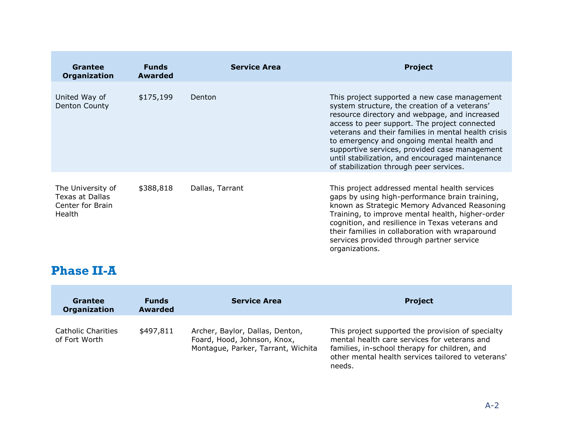| Grantee<br><b>Organization</b>                                            | <b>Funds</b><br><b>Awarded</b> | <b>Service Area</b> | <b>Project</b>                                                                                                                                                                                                                                                                                                                                                                                                                                      |
|---------------------------------------------------------------------------|--------------------------------|---------------------|-----------------------------------------------------------------------------------------------------------------------------------------------------------------------------------------------------------------------------------------------------------------------------------------------------------------------------------------------------------------------------------------------------------------------------------------------------|
| United Way of<br>Denton County                                            | \$175,199                      | Denton              | This project supported a new case management<br>system structure, the creation of a veterans'<br>resource directory and webpage, and increased<br>access to peer support. The project connected<br>veterans and their families in mental health crisis<br>to emergency and ongoing mental health and<br>supportive services, provided case management<br>until stabilization, and encouraged maintenance<br>of stabilization through peer services. |
| The University of<br>Texas at Dallas<br>Center for Brain<br><b>Health</b> | \$388,818                      | Dallas, Tarrant     | This project addressed mental health services<br>gaps by using high-performance brain training,<br>known as Strategic Memory Advanced Reasoning<br>Training, to improve mental health, higher-order<br>cognition, and resilience in Texas veterans and<br>their families in collaboration with wraparound<br>services provided through partner service<br>organizations.                                                                            |

### **Phase II-A**

 $\mathcal{L}$ 

<span id="page-13-0"></span>

| Grantee<br>Organization                    | <b>Funds</b><br><b>Awarded</b> | <b>Service Area</b>                                                                                  | <b>Project</b>                                                                                                                                                                                                     |
|--------------------------------------------|--------------------------------|------------------------------------------------------------------------------------------------------|--------------------------------------------------------------------------------------------------------------------------------------------------------------------------------------------------------------------|
| <b>Catholic Charities</b><br>of Fort Worth | \$497,811                      | Archer, Baylor, Dallas, Denton,<br>Foard, Hood, Johnson, Knox,<br>Montague, Parker, Tarrant, Wichita | This project supported the provision of specialty<br>mental health care services for veterans and<br>families, in-school therapy for children, and<br>other mental health services tailored to veterans'<br>needs. |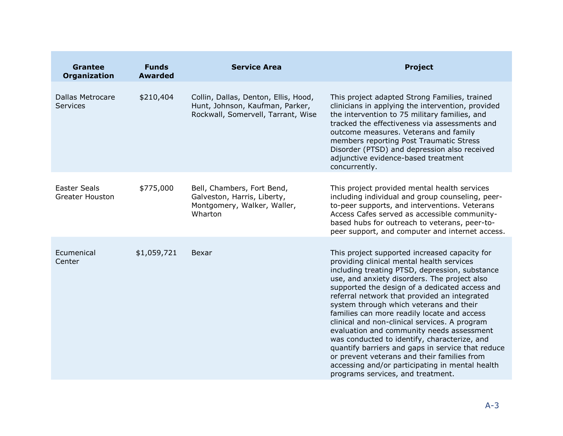| <b>Grantee</b><br><b>Organization</b>         | <b>Funds</b><br><b>Awarded</b> | <b>Service Area</b>                                                                                           | <b>Project</b>                                                                                                                                                                                                                                                                                                                                                                                                                                                                                                                                                                                                                                                                                                                     |
|-----------------------------------------------|--------------------------------|---------------------------------------------------------------------------------------------------------------|------------------------------------------------------------------------------------------------------------------------------------------------------------------------------------------------------------------------------------------------------------------------------------------------------------------------------------------------------------------------------------------------------------------------------------------------------------------------------------------------------------------------------------------------------------------------------------------------------------------------------------------------------------------------------------------------------------------------------------|
| <b>Dallas Metrocare</b><br><b>Services</b>    | \$210,404                      | Collin, Dallas, Denton, Ellis, Hood,<br>Hunt, Johnson, Kaufman, Parker,<br>Rockwall, Somervell, Tarrant, Wise | This project adapted Strong Families, trained<br>clinicians in applying the intervention, provided<br>the intervention to 75 military families, and<br>tracked the effectiveness via assessments and<br>outcome measures. Veterans and family<br>members reporting Post Traumatic Stress<br>Disorder (PTSD) and depression also received<br>adjunctive evidence-based treatment<br>concurrently.                                                                                                                                                                                                                                                                                                                                   |
| <b>Easter Seals</b><br><b>Greater Houston</b> | \$775,000                      | Bell, Chambers, Fort Bend,<br>Galveston, Harris, Liberty,<br>Montgomery, Walker, Waller,<br>Wharton           | This project provided mental health services<br>including individual and group counseling, peer-<br>to-peer supports, and interventions. Veterans<br>Access Cafes served as accessible community-<br>based hubs for outreach to veterans, peer-to-<br>peer support, and computer and internet access.                                                                                                                                                                                                                                                                                                                                                                                                                              |
| Ecumenical<br>Center                          | \$1,059,721                    | Bexar                                                                                                         | This project supported increased capacity for<br>providing clinical mental health services<br>including treating PTSD, depression, substance<br>use, and anxiety disorders. The project also<br>supported the design of a dedicated access and<br>referral network that provided an integrated<br>system through which veterans and their<br>families can more readily locate and access<br>clinical and non-clinical services. A program<br>evaluation and community needs assessment<br>was conducted to identify, characterize, and<br>quantify barriers and gaps in service that reduce<br>or prevent veterans and their families from<br>accessing and/or participating in mental health<br>programs services, and treatment. |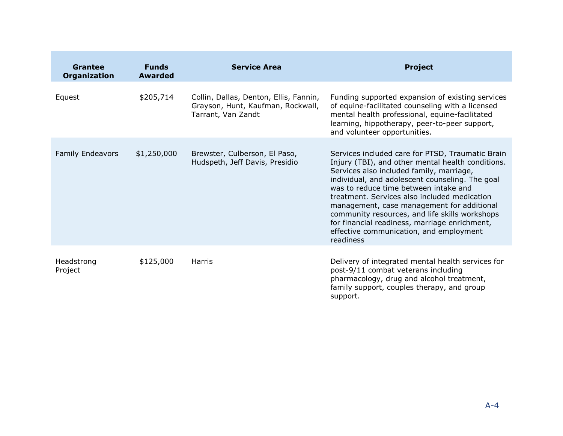| Grantee<br>Organization | <b>Funds</b><br><b>Awarded</b> | <b>Service Area</b>                                                                               | <b>Project</b>                                                                                                                                                                                                                                                                                                                                                                                                                                                                                         |
|-------------------------|--------------------------------|---------------------------------------------------------------------------------------------------|--------------------------------------------------------------------------------------------------------------------------------------------------------------------------------------------------------------------------------------------------------------------------------------------------------------------------------------------------------------------------------------------------------------------------------------------------------------------------------------------------------|
| Equest                  | \$205,714                      | Collin, Dallas, Denton, Ellis, Fannin,<br>Grayson, Hunt, Kaufman, Rockwall,<br>Tarrant, Van Zandt | Funding supported expansion of existing services<br>of equine-facilitated counseling with a licensed<br>mental health professional, equine-facilitated<br>learning, hippotherapy, peer-to-peer support,<br>and volunteer opportunities.                                                                                                                                                                                                                                                                |
| <b>Family Endeavors</b> | \$1,250,000                    | Brewster, Culberson, El Paso,<br>Hudspeth, Jeff Davis, Presidio                                   | Services included care for PTSD, Traumatic Brain<br>Injury (TBI), and other mental health conditions.<br>Services also included family, marriage,<br>individual, and adolescent counseling. The goal<br>was to reduce time between intake and<br>treatment. Services also included medication<br>management, case management for additional<br>community resources, and life skills workshops<br>for financial readiness, marriage enrichment,<br>effective communication, and employment<br>readiness |
| Headstrong<br>Project   | \$125,000                      | Harris                                                                                            | Delivery of integrated mental health services for<br>post-9/11 combat veterans including<br>pharmacology, drug and alcohol treatment,<br>family support, couples therapy, and group<br>support.                                                                                                                                                                                                                                                                                                        |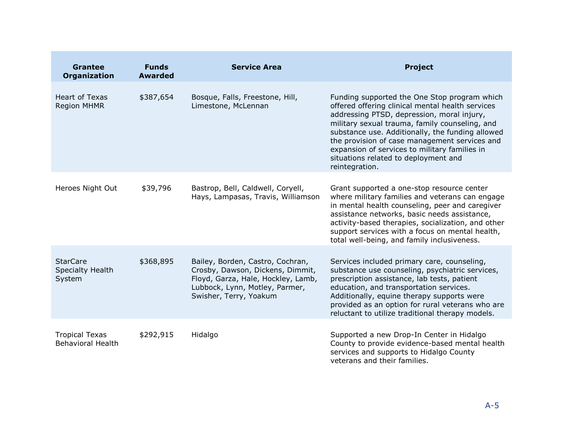| <b>Grantee</b><br><b>Organization</b>             | <b>Funds</b><br><b>Awarded</b> | <b>Service Area</b>                                                                                                                                                    | <b>Project</b>                                                                                                                                                                                                                                                                                                                                                                                                   |
|---------------------------------------------------|--------------------------------|------------------------------------------------------------------------------------------------------------------------------------------------------------------------|------------------------------------------------------------------------------------------------------------------------------------------------------------------------------------------------------------------------------------------------------------------------------------------------------------------------------------------------------------------------------------------------------------------|
| <b>Heart of Texas</b><br><b>Region MHMR</b>       | \$387,654                      | Bosque, Falls, Freestone, Hill,<br>Limestone, McLennan                                                                                                                 | Funding supported the One Stop program which<br>offered offering clinical mental health services<br>addressing PTSD, depression, moral injury,<br>military sexual trauma, family counseling, and<br>substance use. Additionally, the funding allowed<br>the provision of case management services and<br>expansion of services to military families in<br>situations related to deployment and<br>reintegration. |
| Heroes Night Out                                  | \$39,796                       | Bastrop, Bell, Caldwell, Coryell,<br>Hays, Lampasas, Travis, Williamson                                                                                                | Grant supported a one-stop resource center<br>where military families and veterans can engage<br>in mental health counseling, peer and caregiver<br>assistance networks, basic needs assistance,<br>activity-based therapies, socialization, and other<br>support services with a focus on mental health,<br>total well-being, and family inclusiveness.                                                         |
| <b>StarCare</b><br>Specialty Health<br>System     | \$368,895                      | Bailey, Borden, Castro, Cochran,<br>Crosby, Dawson, Dickens, Dimmit,<br>Floyd, Garza, Hale, Hockley, Lamb,<br>Lubbock, Lynn, Motley, Parmer,<br>Swisher, Terry, Yoakum | Services included primary care, counseling,<br>substance use counseling, psychiatric services,<br>prescription assistance, lab tests, patient<br>education, and transportation services.<br>Additionally, equine therapy supports were<br>provided as an option for rural veterans who are<br>reluctant to utilize traditional therapy models.                                                                   |
| <b>Tropical Texas</b><br><b>Behavioral Health</b> | \$292,915                      | Hidalgo                                                                                                                                                                | Supported a new Drop-In Center in Hidalgo<br>County to provide evidence-based mental health<br>services and supports to Hidalgo County<br>veterans and their families.                                                                                                                                                                                                                                           |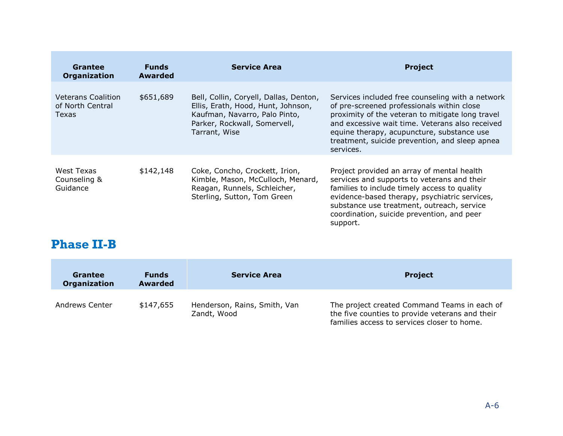| Grantee<br><b>Organization</b>                         | <b>Funds</b><br>Awarded | <b>Service Area</b>                                                                                                                                            | <b>Project</b>                                                                                                                                                                                                                                                                                                     |
|--------------------------------------------------------|-------------------------|----------------------------------------------------------------------------------------------------------------------------------------------------------------|--------------------------------------------------------------------------------------------------------------------------------------------------------------------------------------------------------------------------------------------------------------------------------------------------------------------|
| <b>Veterans Coalition</b><br>of North Central<br>Texas | \$651,689               | Bell, Collin, Coryell, Dallas, Denton,<br>Ellis, Erath, Hood, Hunt, Johnson,<br>Kaufman, Navarro, Palo Pinto,<br>Parker, Rockwall, Somervell,<br>Tarrant, Wise | Services included free counseling with a network<br>of pre-screened professionals within close<br>proximity of the veteran to mitigate long travel<br>and excessive wait time. Veterans also received<br>equine therapy, acupuncture, substance use<br>treatment, suicide prevention, and sleep apnea<br>services. |
| West Texas<br>Counseling &<br>Guidance                 | \$142,148               | Coke, Concho, Crockett, Irion,<br>Kimble, Mason, McCulloch, Menard,<br>Reagan, Runnels, Schleicher,<br>Sterling, Sutton, Tom Green                             | Project provided an array of mental health<br>services and supports to veterans and their<br>families to include timely access to quality<br>evidence-based therapy, psychiatric services,<br>substance use treatment, outreach, service<br>coordination, suicide prevention, and peer<br>support.                 |

# **Phase II-B**

<span id="page-17-0"></span>

| <b>Grantee</b><br>Organization | <b>Funds</b><br><b>Awarded</b> | <b>Service Area</b>                         | <b>Project</b>                                                                                                                                 |
|--------------------------------|--------------------------------|---------------------------------------------|------------------------------------------------------------------------------------------------------------------------------------------------|
| Andrews Center                 | \$147,655                      | Henderson, Rains, Smith, Van<br>Zandt, Wood | The project created Command Teams in each of<br>the five counties to provide veterans and their<br>families access to services closer to home. |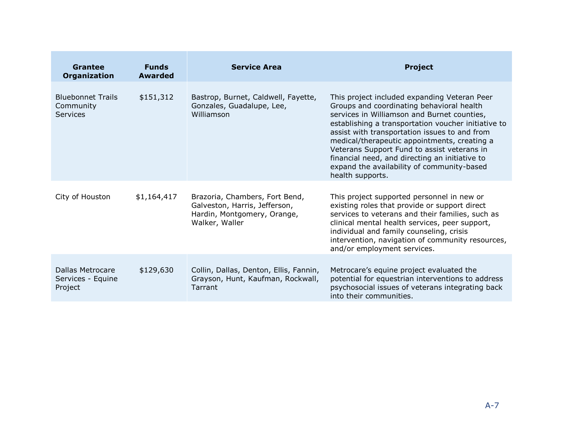| <b>Grantee</b><br>Organization                           | <b>Funds</b><br><b>Awarded</b> | <b>Service Area</b>                                                                                              | <b>Project</b>                                                                                                                                                                                                                                                                                                                                                                                                                                                      |
|----------------------------------------------------------|--------------------------------|------------------------------------------------------------------------------------------------------------------|---------------------------------------------------------------------------------------------------------------------------------------------------------------------------------------------------------------------------------------------------------------------------------------------------------------------------------------------------------------------------------------------------------------------------------------------------------------------|
| <b>Bluebonnet Trails</b><br>Community<br><b>Services</b> | \$151,312                      | Bastrop, Burnet, Caldwell, Fayette,<br>Gonzales, Guadalupe, Lee,<br>Williamson                                   | This project included expanding Veteran Peer<br>Groups and coordinating behavioral health<br>services in Williamson and Burnet counties,<br>establishing a transportation voucher initiative to<br>assist with transportation issues to and from<br>medical/therapeutic appointments, creating a<br>Veterans Support Fund to assist veterans in<br>financial need, and directing an initiative to<br>expand the availability of community-based<br>health supports. |
| City of Houston                                          | \$1,164,417                    | Brazoria, Chambers, Fort Bend,<br>Galveston, Harris, Jefferson,<br>Hardin, Montgomery, Orange,<br>Walker, Waller | This project supported personnel in new or<br>existing roles that provide or support direct<br>services to veterans and their families, such as<br>clinical mental health services, peer support,<br>individual and family counseling, crisis<br>intervention, navigation of community resources,<br>and/or employment services.                                                                                                                                    |
| Dallas Metrocare<br>Services - Equine<br>Project         | \$129,630                      | Collin, Dallas, Denton, Ellis, Fannin,<br>Grayson, Hunt, Kaufman, Rockwall,<br>Tarrant                           | Metrocare's equine project evaluated the<br>potential for equestrian interventions to address<br>psychosocial issues of veterans integrating back<br>into their communities.                                                                                                                                                                                                                                                                                        |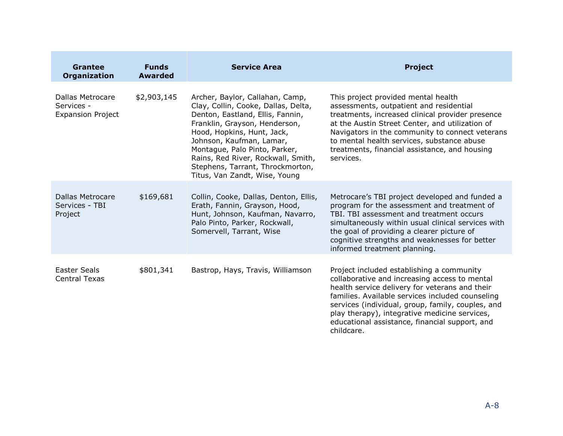| <b>Grantee</b><br><b>Organization</b>                      | <b>Funds</b><br><b>Awarded</b> | <b>Service Area</b>                                                                                                                                                                                                                                                                                                                               | <b>Project</b>                                                                                                                                                                                                                                                                                                                                                         |
|------------------------------------------------------------|--------------------------------|---------------------------------------------------------------------------------------------------------------------------------------------------------------------------------------------------------------------------------------------------------------------------------------------------------------------------------------------------|------------------------------------------------------------------------------------------------------------------------------------------------------------------------------------------------------------------------------------------------------------------------------------------------------------------------------------------------------------------------|
| Dallas Metrocare<br>Services -<br><b>Expansion Project</b> | \$2,903,145                    | Archer, Baylor, Callahan, Camp,<br>Clay, Collin, Cooke, Dallas, Delta,<br>Denton, Eastland, Ellis, Fannin,<br>Franklin, Grayson, Henderson,<br>Hood, Hopkins, Hunt, Jack,<br>Johnson, Kaufman, Lamar,<br>Montague, Palo Pinto, Parker,<br>Rains, Red River, Rockwall, Smith,<br>Stephens, Tarrant, Throckmorton,<br>Titus, Van Zandt, Wise, Young | This project provided mental health<br>assessments, outpatient and residential<br>treatments, increased clinical provider presence<br>at the Austin Street Center, and utilization of<br>Navigators in the community to connect veterans<br>to mental health services, substance abuse<br>treatments, financial assistance, and housing<br>services.                   |
| Dallas Metrocare<br>Services - TBI<br>Project              | \$169,681                      | Collin, Cooke, Dallas, Denton, Ellis,<br>Erath, Fannin, Grayson, Hood,<br>Hunt, Johnson, Kaufman, Navarro,<br>Palo Pinto, Parker, Rockwall,<br>Somervell, Tarrant, Wise                                                                                                                                                                           | Metrocare's TBI project developed and funded a<br>program for the assessment and treatment of<br>TBI. TBI assessment and treatment occurs<br>simultaneously within usual clinical services with<br>the goal of providing a clearer picture of<br>cognitive strengths and weaknesses for better<br>informed treatment planning.                                         |
| <b>Easter Seals</b><br><b>Central Texas</b>                | \$801,341                      | Bastrop, Hays, Travis, Williamson                                                                                                                                                                                                                                                                                                                 | Project included establishing a community<br>collaborative and increasing access to mental<br>health service delivery for veterans and their<br>families. Available services included counseling<br>services (individual, group, family, couples, and<br>play therapy), integrative medicine services,<br>educational assistance, financial support, and<br>childcare. |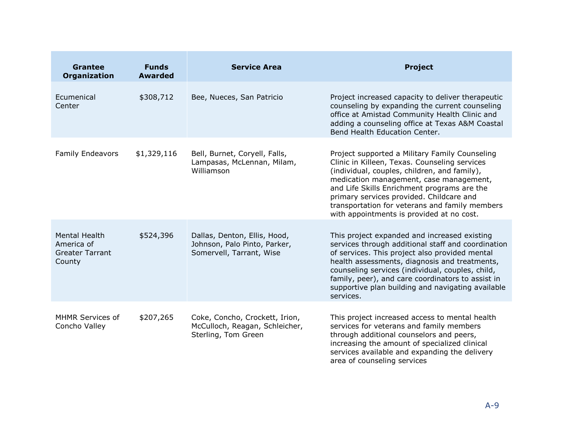| <b>Grantee</b><br><b>Organization</b>                                  | <b>Funds</b><br><b>Awarded</b> | <b>Service Area</b>                                                                      | <b>Project</b>                                                                                                                                                                                                                                                                                                                                                                       |
|------------------------------------------------------------------------|--------------------------------|------------------------------------------------------------------------------------------|--------------------------------------------------------------------------------------------------------------------------------------------------------------------------------------------------------------------------------------------------------------------------------------------------------------------------------------------------------------------------------------|
| Ecumenical<br>Center                                                   | \$308,712                      | Bee, Nueces, San Patricio                                                                | Project increased capacity to deliver therapeutic<br>counseling by expanding the current counseling<br>office at Amistad Community Health Clinic and<br>adding a counseling office at Texas A&M Coastal<br>Bend Health Education Center.                                                                                                                                             |
| <b>Family Endeavors</b>                                                | \$1,329,116                    | Bell, Burnet, Coryell, Falls,<br>Lampasas, McLennan, Milam,<br>Williamson                | Project supported a Military Family Counseling<br>Clinic in Killeen, Texas. Counseling services<br>(individual, couples, children, and family),<br>medication management, case management,<br>and Life Skills Enrichment programs are the<br>primary services provided. Childcare and<br>transportation for veterans and family members<br>with appointments is provided at no cost. |
| <b>Mental Health</b><br>America of<br><b>Greater Tarrant</b><br>County | \$524,396                      | Dallas, Denton, Ellis, Hood,<br>Johnson, Palo Pinto, Parker,<br>Somervell, Tarrant, Wise | This project expanded and increased existing<br>services through additional staff and coordination<br>of services. This project also provided mental<br>health assessments, diagnosis and treatments,<br>counseling services (individual, couples, child,<br>family, peer), and care coordinators to assist in<br>supportive plan building and navigating available<br>services.     |
| MHMR Services of<br>Concho Valley                                      | \$207,265                      | Coke, Concho, Crockett, Irion,<br>McCulloch, Reagan, Schleicher,<br>Sterling, Tom Green  | This project increased access to mental health<br>services for veterans and family members<br>through additional counselors and peers,<br>increasing the amount of specialized clinical<br>services available and expanding the delivery<br>area of counseling services                                                                                                              |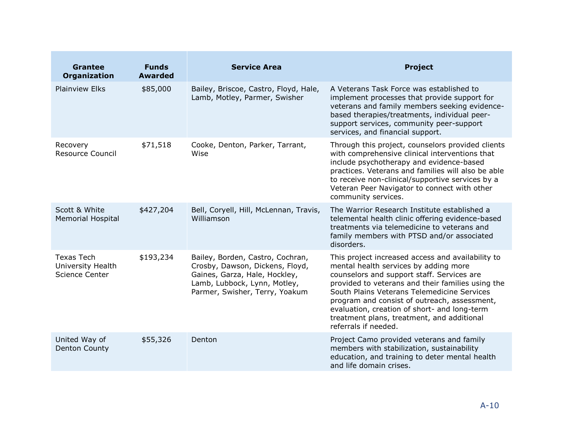| <b>Grantee</b><br><b>Organization</b>                    | <b>Funds</b><br><b>Awarded</b> | <b>Service Area</b>                                                                                                                                                    | <b>Project</b>                                                                                                                                                                                                                                                                                                                                                                                                     |
|----------------------------------------------------------|--------------------------------|------------------------------------------------------------------------------------------------------------------------------------------------------------------------|--------------------------------------------------------------------------------------------------------------------------------------------------------------------------------------------------------------------------------------------------------------------------------------------------------------------------------------------------------------------------------------------------------------------|
| <b>Plainview Elks</b>                                    | \$85,000                       | Bailey, Briscoe, Castro, Floyd, Hale,<br>Lamb, Motley, Parmer, Swisher                                                                                                 | A Veterans Task Force was established to<br>implement processes that provide support for<br>veterans and family members seeking evidence-<br>based therapies/treatments, individual peer-<br>support services, community peer-support<br>services, and financial support.                                                                                                                                          |
| Recovery<br>Resource Council                             | \$71,518                       | Cooke, Denton, Parker, Tarrant,<br>Wise                                                                                                                                | Through this project, counselors provided clients<br>with comprehensive clinical interventions that<br>include psychotherapy and evidence-based<br>practices. Veterans and families will also be able<br>to receive non-clinical/supportive services by a<br>Veteran Peer Navigator to connect with other<br>community services.                                                                                   |
| Scott & White<br><b>Memorial Hospital</b>                | \$427,204                      | Bell, Coryell, Hill, McLennan, Travis,<br>Williamson                                                                                                                   | The Warrior Research Institute established a<br>telemental health clinic offering evidence-based<br>treatments via telemedicine to veterans and<br>family members with PTSD and/or associated<br>disorders.                                                                                                                                                                                                        |
| <b>Texas Tech</b><br>University Health<br>Science Center | \$193,234                      | Bailey, Borden, Castro, Cochran,<br>Crosby, Dawson, Dickens, Floyd,<br>Gaines, Garza, Hale, Hockley,<br>Lamb, Lubbock, Lynn, Motley,<br>Parmer, Swisher, Terry, Yoakum | This project increased access and availability to<br>mental health services by adding more<br>counselors and support staff. Services are<br>provided to veterans and their families using the<br>South Plains Veterans Telemedicine Services<br>program and consist of outreach, assessment,<br>evaluation, creation of short- and long-term<br>treatment plans, treatment, and additional<br>referrals if needed. |
| United Way of<br><b>Denton County</b>                    | \$55,326                       | Denton                                                                                                                                                                 | Project Camo provided veterans and family<br>members with stabilization, sustainability<br>education, and training to deter mental health<br>and life domain crises.                                                                                                                                                                                                                                               |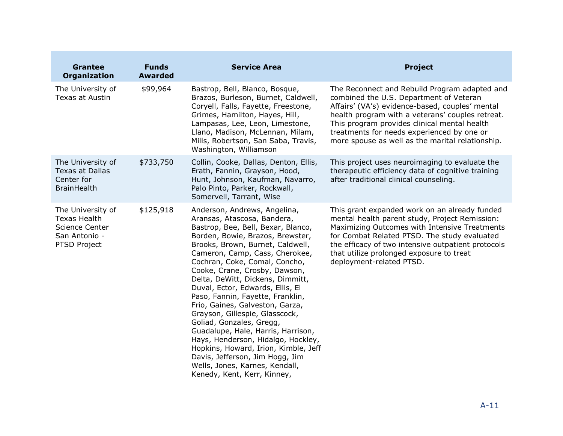| <b>Grantee</b><br><b>Organization</b>                                                              | <b>Funds</b><br><b>Awarded</b> | <b>Service Area</b>                                                                                                                                                                                                                                                                                                                                                                                                                                                                                                                                                                                                                                                                                                | <b>Project</b>                                                                                                                                                                                                                                                                                                                                    |
|----------------------------------------------------------------------------------------------------|--------------------------------|--------------------------------------------------------------------------------------------------------------------------------------------------------------------------------------------------------------------------------------------------------------------------------------------------------------------------------------------------------------------------------------------------------------------------------------------------------------------------------------------------------------------------------------------------------------------------------------------------------------------------------------------------------------------------------------------------------------------|---------------------------------------------------------------------------------------------------------------------------------------------------------------------------------------------------------------------------------------------------------------------------------------------------------------------------------------------------|
| The University of<br>Texas at Austin                                                               | \$99,964                       | Bastrop, Bell, Blanco, Bosque,<br>Brazos, Burleson, Burnet, Caldwell,<br>Coryell, Falls, Fayette, Freestone,<br>Grimes, Hamilton, Hayes, Hill,<br>Lampasas, Lee, Leon, Limestone,<br>Llano, Madison, McLennan, Milam,<br>Mills, Robertson, San Saba, Travis,<br>Washington, Williamson                                                                                                                                                                                                                                                                                                                                                                                                                             | The Reconnect and Rebuild Program adapted and<br>combined the U.S. Department of Veteran<br>Affairs' (VA's) evidence-based, couples' mental<br>health program with a veterans' couples retreat.<br>This program provides clinical mental health<br>treatments for needs experienced by one or<br>more spouse as well as the marital relationship. |
| The University of<br><b>Texas at Dallas</b><br>Center for<br><b>BrainHealth</b>                    | \$733,750                      | Collin, Cooke, Dallas, Denton, Ellis,<br>Erath, Fannin, Grayson, Hood,<br>Hunt, Johnson, Kaufman, Navarro,<br>Palo Pinto, Parker, Rockwall,<br>Somervell, Tarrant, Wise                                                                                                                                                                                                                                                                                                                                                                                                                                                                                                                                            | This project uses neuroimaging to evaluate the<br>therapeutic efficiency data of cognitive training<br>after traditional clinical counseling.                                                                                                                                                                                                     |
| The University of<br><b>Texas Health</b><br><b>Science Center</b><br>San Antonio -<br>PTSD Project | \$125,918                      | Anderson, Andrews, Angelina,<br>Aransas, Atascosa, Bandera,<br>Bastrop, Bee, Bell, Bexar, Blanco,<br>Borden, Bowie, Brazos, Brewster,<br>Brooks, Brown, Burnet, Caldwell,<br>Cameron, Camp, Cass, Cherokee,<br>Cochran, Coke, Comal, Concho,<br>Cooke, Crane, Crosby, Dawson,<br>Delta, DeWitt, Dickens, Dimmitt,<br>Duval, Ector, Edwards, Ellis, El<br>Paso, Fannin, Fayette, Franklin,<br>Frio, Gaines, Galveston, Garza,<br>Grayson, Gillespie, Glasscock,<br>Goliad, Gonzales, Gregg,<br>Guadalupe, Hale, Harris, Harrison,<br>Hays, Henderson, Hidalgo, Hockley,<br>Hopkins, Howard, Irion, Kimble, Jeff<br>Davis, Jefferson, Jim Hogg, Jim<br>Wells, Jones, Karnes, Kendall,<br>Kenedy, Kent, Kerr, Kinney, | This grant expanded work on an already funded<br>mental health parent study, Project Remission:<br>Maximizing Outcomes with Intensive Treatments<br>for Combat Related PTSD. The study evaluated<br>the efficacy of two intensive outpatient protocols<br>that utilize prolonged exposure to treat<br>deployment-related PTSD.                    |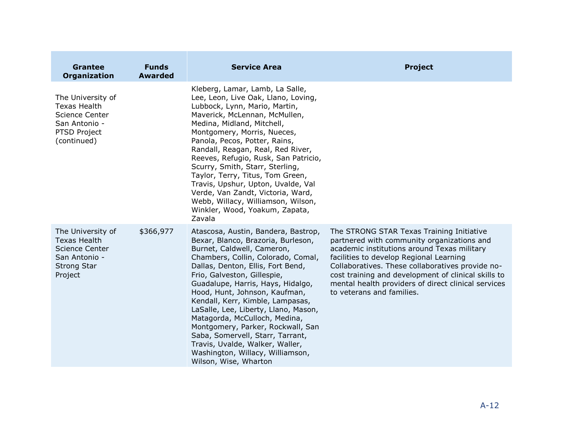| <b>Grantee</b><br><b>Organization</b>                                                                               | <b>Funds</b><br><b>Awarded</b> | <b>Service Area</b>                                                                                                                                                                                                                                                                                                                                                                                                                                                                                                                                                           | <b>Project</b>                                                                                                                                                                                                                                                                                                                                                                   |
|---------------------------------------------------------------------------------------------------------------------|--------------------------------|-------------------------------------------------------------------------------------------------------------------------------------------------------------------------------------------------------------------------------------------------------------------------------------------------------------------------------------------------------------------------------------------------------------------------------------------------------------------------------------------------------------------------------------------------------------------------------|----------------------------------------------------------------------------------------------------------------------------------------------------------------------------------------------------------------------------------------------------------------------------------------------------------------------------------------------------------------------------------|
| The University of<br><b>Texas Health</b><br><b>Science Center</b><br>San Antonio -<br>PTSD Project<br>(continued)   |                                | Kleberg, Lamar, Lamb, La Salle,<br>Lee, Leon, Live Oak, Llano, Loving,<br>Lubbock, Lynn, Mario, Martin,<br>Maverick, McLennan, McMullen,<br>Medina, Midland, Mitchell,<br>Montgomery, Morris, Nueces,<br>Panola, Pecos, Potter, Rains,<br>Randall, Reagan, Real, Red River,<br>Reeves, Refugio, Rusk, San Patricio,<br>Scurry, Smith, Starr, Sterling,<br>Taylor, Terry, Titus, Tom Green,<br>Travis, Upshur, Upton, Uvalde, Val<br>Verde, Van Zandt, Victoria, Ward,<br>Webb, Willacy, Williamson, Wilson,<br>Winkler, Wood, Yoakum, Zapata,<br>Zavala                       |                                                                                                                                                                                                                                                                                                                                                                                  |
| The University of<br><b>Texas Health</b><br><b>Science Center</b><br>San Antonio -<br><b>Strong Star</b><br>Project | \$366,977                      | Atascosa, Austin, Bandera, Bastrop,<br>Bexar, Blanco, Brazoria, Burleson,<br>Burnet, Caldwell, Cameron,<br>Chambers, Collin, Colorado, Comal,<br>Dallas, Denton, Ellis, Fort Bend,<br>Frio, Galveston, Gillespie,<br>Guadalupe, Harris, Hays, Hidalgo,<br>Hood, Hunt, Johnson, Kaufman,<br>Kendall, Kerr, Kimble, Lampasas,<br>LaSalle, Lee, Liberty, Llano, Mason,<br>Matagorda, McCulloch, Medina,<br>Montgomery, Parker, Rockwall, San<br>Saba, Somervell, Starr, Tarrant,<br>Travis, Uvalde, Walker, Waller,<br>Washington, Willacy, Williamson,<br>Wilson, Wise, Wharton | The STRONG STAR Texas Training Initiative<br>partnered with community organizations and<br>academic institutions around Texas military<br>facilities to develop Regional Learning<br>Collaboratives. These collaboratives provide no-<br>cost training and development of clinical skills to<br>mental health providers of direct clinical services<br>to veterans and families. |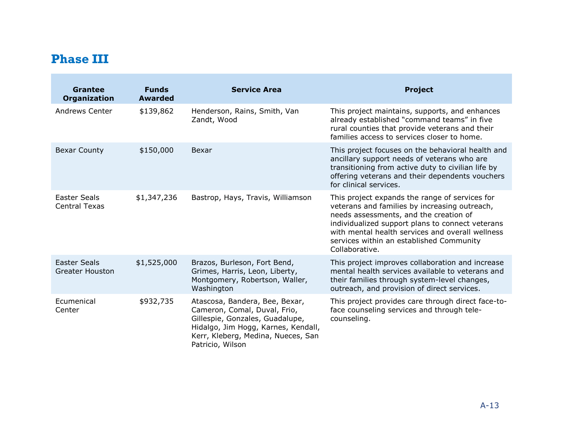# **Phase III**

<span id="page-24-0"></span>

| <b>Grantee</b><br><b>Organization</b>         | <b>Funds</b><br><b>Awarded</b> | <b>Service Area</b>                                                                                                                                                                                | <b>Project</b>                                                                                                                                                                                                                                                                                                  |
|-----------------------------------------------|--------------------------------|----------------------------------------------------------------------------------------------------------------------------------------------------------------------------------------------------|-----------------------------------------------------------------------------------------------------------------------------------------------------------------------------------------------------------------------------------------------------------------------------------------------------------------|
| Andrews Center                                | \$139,862                      | Henderson, Rains, Smith, Van<br>Zandt, Wood                                                                                                                                                        | This project maintains, supports, and enhances<br>already established "command teams" in five<br>rural counties that provide veterans and their<br>families access to services closer to home.                                                                                                                  |
| <b>Bexar County</b>                           | \$150,000                      | Bexar                                                                                                                                                                                              | This project focuses on the behavioral health and<br>ancillary support needs of veterans who are<br>transitioning from active duty to civilian life by<br>offering veterans and their dependents vouchers<br>for clinical services.                                                                             |
| Easter Seals<br><b>Central Texas</b>          | \$1,347,236                    | Bastrop, Hays, Travis, Williamson                                                                                                                                                                  | This project expands the range of services for<br>veterans and families by increasing outreach,<br>needs assessments, and the creation of<br>individualized support plans to connect veterans<br>with mental health services and overall wellness<br>services within an established Community<br>Collaborative. |
| <b>Easter Seals</b><br><b>Greater Houston</b> | \$1,525,000                    | Brazos, Burleson, Fort Bend,<br>Grimes, Harris, Leon, Liberty,<br>Montgomery, Robertson, Waller,<br>Washington                                                                                     | This project improves collaboration and increase<br>mental health services available to veterans and<br>their families through system-level changes,<br>outreach, and provision of direct services.                                                                                                             |
| Ecumenical<br>Center                          | \$932,735                      | Atascosa, Bandera, Bee, Bexar,<br>Cameron, Comal, Duval, Frio,<br>Gillespie, Gonzales, Guadalupe,<br>Hidalgo, Jim Hogg, Karnes, Kendall,<br>Kerr, Kleberg, Medina, Nueces, San<br>Patricio, Wilson | This project provides care through direct face-to-<br>face counseling services and through tele-<br>counseling.                                                                                                                                                                                                 |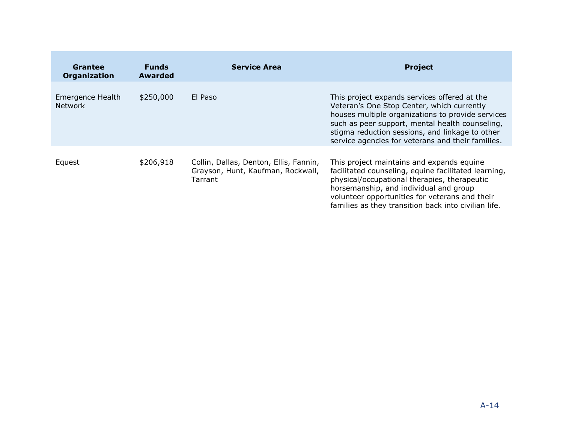| Grantee<br>Organization            | <b>Funds</b><br><b>Awarded</b> | <b>Service Area</b>                                                                    | <b>Project</b>                                                                                                                                                                                                                                                                                             |
|------------------------------------|--------------------------------|----------------------------------------------------------------------------------------|------------------------------------------------------------------------------------------------------------------------------------------------------------------------------------------------------------------------------------------------------------------------------------------------------------|
| Emergence Health<br><b>Network</b> | \$250,000                      | El Paso                                                                                | This project expands services offered at the<br>Veteran's One Stop Center, which currently<br>houses multiple organizations to provide services<br>such as peer support, mental health counseling,<br>stigma reduction sessions, and linkage to other<br>service agencies for veterans and their families. |
| Equest                             | \$206,918                      | Collin, Dallas, Denton, Ellis, Fannin,<br>Grayson, Hunt, Kaufman, Rockwall,<br>Tarrant | This project maintains and expands equine<br>facilitated counseling, equine facilitated learning,<br>physical/occupational therapies, therapeutic<br>horsemanship, and individual and group<br>volunteer opportunities for veterans and their<br>families as they transition back into civilian life.      |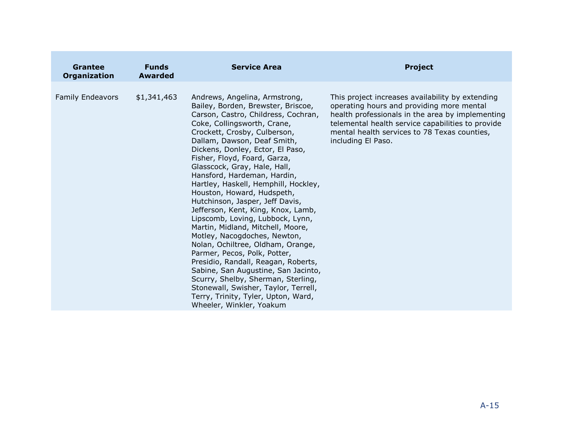| Grantee<br>Organization | <b>Funds</b><br>Awarded | <b>Service Area</b>                                                                                                                                                                                                                                                                                                                                                                                                                                                                                                                                                                                                                                                                                                                                                                                                                                                                                     | <b>Project</b>                                                                                                                                                                                                                                                               |
|-------------------------|-------------------------|---------------------------------------------------------------------------------------------------------------------------------------------------------------------------------------------------------------------------------------------------------------------------------------------------------------------------------------------------------------------------------------------------------------------------------------------------------------------------------------------------------------------------------------------------------------------------------------------------------------------------------------------------------------------------------------------------------------------------------------------------------------------------------------------------------------------------------------------------------------------------------------------------------|------------------------------------------------------------------------------------------------------------------------------------------------------------------------------------------------------------------------------------------------------------------------------|
| <b>Family Endeavors</b> | \$1,341,463             | Andrews, Angelina, Armstrong,<br>Bailey, Borden, Brewster, Briscoe,<br>Carson, Castro, Childress, Cochran,<br>Coke, Collingsworth, Crane,<br>Crockett, Crosby, Culberson,<br>Dallam, Dawson, Deaf Smith,<br>Dickens, Donley, Ector, El Paso,<br>Fisher, Floyd, Foard, Garza,<br>Glasscock, Gray, Hale, Hall,<br>Hansford, Hardeman, Hardin,<br>Hartley, Haskell, Hemphill, Hockley,<br>Houston, Howard, Hudspeth,<br>Hutchinson, Jasper, Jeff Davis,<br>Jefferson, Kent, King, Knox, Lamb,<br>Lipscomb, Loving, Lubbock, Lynn,<br>Martin, Midland, Mitchell, Moore,<br>Motley, Nacogdoches, Newton,<br>Nolan, Ochiltree, Oldham, Orange,<br>Parmer, Pecos, Polk, Potter,<br>Presidio, Randall, Reagan, Roberts,<br>Sabine, San Augustine, San Jacinto,<br>Scurry, Shelby, Sherman, Sterling,<br>Stonewall, Swisher, Taylor, Terrell,<br>Terry, Trinity, Tyler, Upton, Ward,<br>Wheeler, Winkler, Yoakum | This project increases availability by extending<br>operating hours and providing more mental<br>health professionals in the area by implementing<br>telemental health service capabilities to provide<br>mental health services to 78 Texas counties,<br>including El Paso. |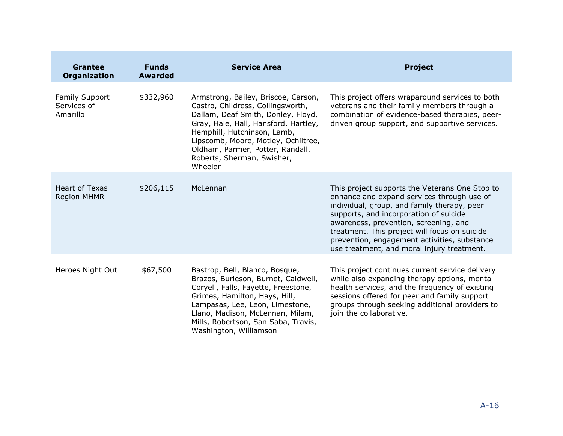| <b>Grantee</b><br><b>Organization</b>            | <b>Funds</b><br><b>Awarded</b> | <b>Service Area</b>                                                                                                                                                                                                                                                                                       | <b>Project</b>                                                                                                                                                                                                                                                                                                                                                                |
|--------------------------------------------------|--------------------------------|-----------------------------------------------------------------------------------------------------------------------------------------------------------------------------------------------------------------------------------------------------------------------------------------------------------|-------------------------------------------------------------------------------------------------------------------------------------------------------------------------------------------------------------------------------------------------------------------------------------------------------------------------------------------------------------------------------|
| <b>Family Support</b><br>Services of<br>Amarillo | \$332,960                      | Armstrong, Bailey, Briscoe, Carson,<br>Castro, Childress, Collingsworth,<br>Dallam, Deaf Smith, Donley, Floyd,<br>Gray, Hale, Hall, Hansford, Hartley,<br>Hemphill, Hutchinson, Lamb,<br>Lipscomb, Moore, Motley, Ochiltree,<br>Oldham, Parmer, Potter, Randall,<br>Roberts, Sherman, Swisher,<br>Wheeler | This project offers wraparound services to both<br>veterans and their family members through a<br>combination of evidence-based therapies, peer-<br>driven group support, and supportive services.                                                                                                                                                                            |
| <b>Heart of Texas</b><br><b>Region MHMR</b>      | \$206,115                      | McLennan                                                                                                                                                                                                                                                                                                  | This project supports the Veterans One Stop to<br>enhance and expand services through use of<br>individual, group, and family therapy, peer<br>supports, and incorporation of suicide<br>awareness, prevention, screening, and<br>treatment. This project will focus on suicide<br>prevention, engagement activities, substance<br>use treatment, and moral injury treatment. |
| Heroes Night Out                                 | \$67,500                       | Bastrop, Bell, Blanco, Bosque,<br>Brazos, Burleson, Burnet, Caldwell,<br>Coryell, Falls, Fayette, Freestone,<br>Grimes, Hamilton, Hays, Hill,<br>Lampasas, Lee, Leon, Limestone,<br>Llano, Madison, McLennan, Milam,<br>Mills, Robertson, San Saba, Travis,<br>Washington, Williamson                     | This project continues current service delivery<br>while also expanding therapy options, mental<br>health services, and the frequency of existing<br>sessions offered for peer and family support<br>groups through seeking additional providers to<br>join the collaborative.                                                                                                |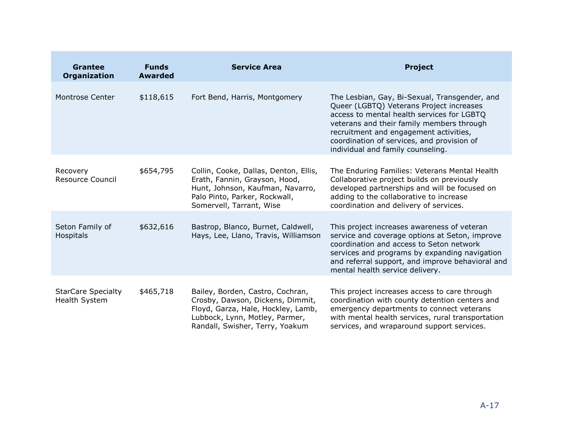| <b>Grantee</b><br><b>Organization</b>      | <b>Funds</b><br><b>Awarded</b> | <b>Service Area</b>                                                                                                                                                             | <b>Project</b>                                                                                                                                                                                                                                                                                                    |
|--------------------------------------------|--------------------------------|---------------------------------------------------------------------------------------------------------------------------------------------------------------------------------|-------------------------------------------------------------------------------------------------------------------------------------------------------------------------------------------------------------------------------------------------------------------------------------------------------------------|
| <b>Montrose Center</b>                     | \$118,615                      | Fort Bend, Harris, Montgomery                                                                                                                                                   | The Lesbian, Gay, Bi-Sexual, Transgender, and<br>Queer (LGBTQ) Veterans Project increases<br>access to mental health services for LGBTQ<br>veterans and their family members through<br>recruitment and engagement activities,<br>coordination of services, and provision of<br>individual and family counseling. |
| Recovery<br>Resource Council               | \$654,795                      | Collin, Cooke, Dallas, Denton, Ellis,<br>Erath, Fannin, Grayson, Hood,<br>Hunt, Johnson, Kaufman, Navarro,<br>Palo Pinto, Parker, Rockwall,<br>Somervell, Tarrant, Wise         | The Enduring Families: Veterans Mental Health<br>Collaborative project builds on previously<br>developed partnerships and will be focused on<br>adding to the collaborative to increase<br>coordination and delivery of services.                                                                                 |
| Seton Family of<br>Hospitals               | \$632,616                      | Bastrop, Blanco, Burnet, Caldwell,<br>Hays, Lee, Llano, Travis, Williamson                                                                                                      | This project increases awareness of veteran<br>service and coverage options at Seton, improve<br>coordination and access to Seton network<br>services and programs by expanding navigation<br>and referral support, and improve behavioral and<br>mental health service delivery.                                 |
| <b>StarCare Specialty</b><br>Health System | \$465,718                      | Bailey, Borden, Castro, Cochran,<br>Crosby, Dawson, Dickens, Dimmit,<br>Floyd, Garza, Hale, Hockley, Lamb,<br>Lubbock, Lynn, Motley, Parmer,<br>Randall, Swisher, Terry, Yoakum | This project increases access to care through<br>coordination with county detention centers and<br>emergency departments to connect veterans<br>with mental health services, rural transportation<br>services, and wraparound support services.                                                                   |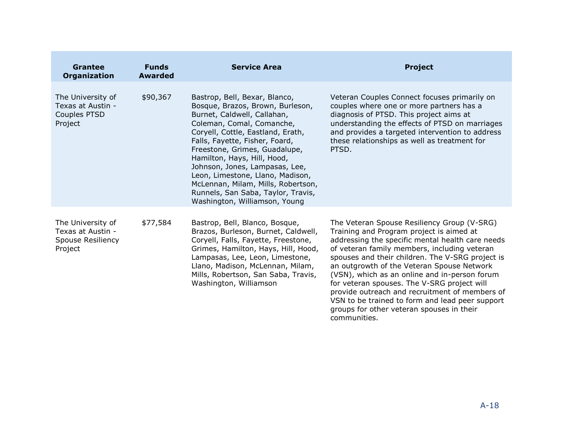| <b>Grantee</b><br><b>Organization</b>                                  | <b>Funds</b><br><b>Awarded</b> | <b>Service Area</b>                                                                                                                                                                                                                                                                                                                                                                                                                                     | <b>Project</b>                                                                                                                                                                                                                                                                                                                                                                                                                                                                                                                                                  |
|------------------------------------------------------------------------|--------------------------------|---------------------------------------------------------------------------------------------------------------------------------------------------------------------------------------------------------------------------------------------------------------------------------------------------------------------------------------------------------------------------------------------------------------------------------------------------------|-----------------------------------------------------------------------------------------------------------------------------------------------------------------------------------------------------------------------------------------------------------------------------------------------------------------------------------------------------------------------------------------------------------------------------------------------------------------------------------------------------------------------------------------------------------------|
| The University of<br>Texas at Austin -<br>Couples PTSD<br>Project      | \$90,367                       | Bastrop, Bell, Bexar, Blanco,<br>Bosque, Brazos, Brown, Burleson,<br>Burnet, Caldwell, Callahan,<br>Coleman, Comal, Comanche,<br>Coryell, Cottle, Eastland, Erath,<br>Falls, Fayette, Fisher, Foard,<br>Freestone, Grimes, Guadalupe,<br>Hamilton, Hays, Hill, Hood,<br>Johnson, Jones, Lampasas, Lee,<br>Leon, Limestone, Llano, Madison,<br>McLennan, Milam, Mills, Robertson,<br>Runnels, San Saba, Taylor, Travis,<br>Washington, Williamson, Young | Veteran Couples Connect focuses primarily on<br>couples where one or more partners has a<br>diagnosis of PTSD. This project aims at<br>understanding the effects of PTSD on marriages<br>and provides a targeted intervention to address<br>these relationships as well as treatment for<br>PTSD.                                                                                                                                                                                                                                                               |
| The University of<br>Texas at Austin -<br>Spouse Resiliency<br>Project | \$77,584                       | Bastrop, Bell, Blanco, Bosque,<br>Brazos, Burleson, Burnet, Caldwell,<br>Coryell, Falls, Fayette, Freestone,<br>Grimes, Hamilton, Hays, Hill, Hood,<br>Lampasas, Lee, Leon, Limestone,<br>Llano, Madison, McLennan, Milam,<br>Mills, Robertson, San Saba, Travis,<br>Washington, Williamson                                                                                                                                                             | The Veteran Spouse Resiliency Group (V-SRG)<br>Training and Program project is aimed at<br>addressing the specific mental health care needs<br>of veteran family members, including veteran<br>spouses and their children. The V-SRG project is<br>an outgrowth of the Veteran Spouse Network<br>(VSN), which as an online and in-person forum<br>for veteran spouses. The V-SRG project will<br>provide outreach and recruitment of members of<br>VSN to be trained to form and lead peer support<br>groups for other veteran spouses in their<br>communities. |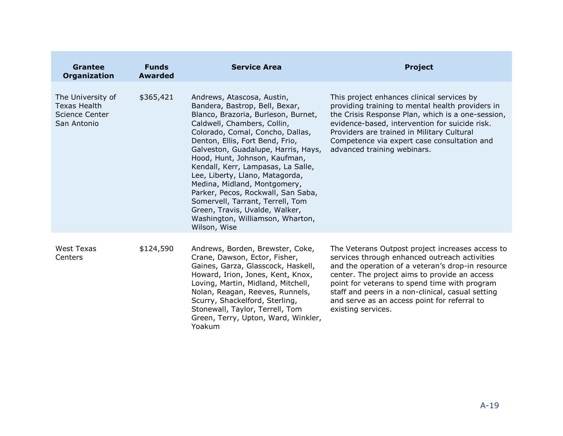| <b>Grantee</b><br><b>Organization</b>                                            | <b>Funds</b><br><b>Awarded</b> | <b>Service Area</b>                                                                                                                                                                                                                                                                                                                                                                                                                                                                                                                                        | <b>Project</b>                                                                                                                                                                                                                                                                                                                                                                      |
|----------------------------------------------------------------------------------|--------------------------------|------------------------------------------------------------------------------------------------------------------------------------------------------------------------------------------------------------------------------------------------------------------------------------------------------------------------------------------------------------------------------------------------------------------------------------------------------------------------------------------------------------------------------------------------------------|-------------------------------------------------------------------------------------------------------------------------------------------------------------------------------------------------------------------------------------------------------------------------------------------------------------------------------------------------------------------------------------|
| The University of<br><b>Texas Health</b><br><b>Science Center</b><br>San Antonio | \$365,421                      | Andrews, Atascosa, Austin,<br>Bandera, Bastrop, Bell, Bexar,<br>Blanco, Brazoria, Burleson, Burnet,<br>Caldwell, Chambers, Collin,<br>Colorado, Comal, Concho, Dallas,<br>Denton, Ellis, Fort Bend, Frio,<br>Galveston, Guadalupe, Harris, Hays,<br>Hood, Hunt, Johnson, Kaufman,<br>Kendall, Kerr, Lampasas, La Salle,<br>Lee, Liberty, Llano, Matagorda,<br>Medina, Midland, Montgomery,<br>Parker, Pecos, Rockwall, San Saba,<br>Somervell, Tarrant, Terrell, Tom<br>Green, Travis, Uvalde, Walker,<br>Washington, Williamson, Wharton,<br>Wilson, Wise | This project enhances clinical services by<br>providing training to mental health providers in<br>the Crisis Response Plan, which is a one-session,<br>evidence-based, intervention for suicide risk.<br>Providers are trained in Military Cultural<br>Competence via expert case consultation and<br>advanced training webinars.                                                   |
| West Texas<br>Centers                                                            | \$124,590                      | Andrews, Borden, Brewster, Coke,<br>Crane, Dawson, Ector, Fisher,<br>Gaines, Garza, Glasscock, Haskell,<br>Howard, Irion, Jones, Kent, Knox,<br>Loving, Martin, Midland, Mitchell,<br>Nolan, Reagan, Reeves, Runnels,<br>Scurry, Shackelford, Sterling,<br>Stonewall, Taylor, Terrell, Tom<br>Green, Terry, Upton, Ward, Winkler,<br>Yoakum                                                                                                                                                                                                                | The Veterans Outpost project increases access to<br>services through enhanced outreach activities<br>and the operation of a veteran's drop-in resource<br>center. The project aims to provide an access<br>point for veterans to spend time with program<br>staff and peers in a non-clinical, casual setting<br>and serve as an access point for referral to<br>existing services. |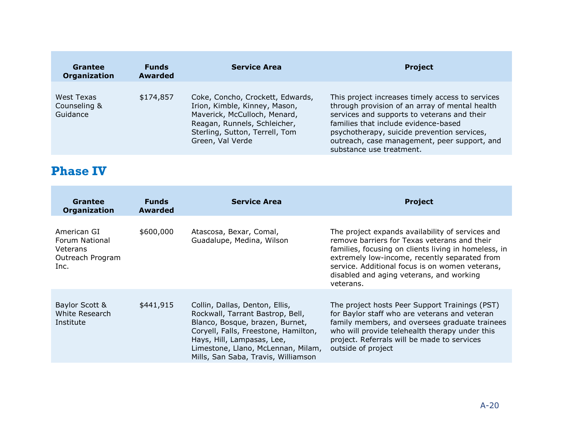| Grantee<br>Organization                | <b>Funds</b><br><b>Awarded</b> | <b>Service Area</b>                                                                                                                                                                     | <b>Project</b>                                                                                                                                                                                                                                                                                                       |  |
|----------------------------------------|--------------------------------|-----------------------------------------------------------------------------------------------------------------------------------------------------------------------------------------|----------------------------------------------------------------------------------------------------------------------------------------------------------------------------------------------------------------------------------------------------------------------------------------------------------------------|--|
| West Texas<br>Counseling &<br>Guidance | \$174,857                      | Coke, Concho, Crockett, Edwards,<br>Irion, Kimble, Kinney, Mason,<br>Maverick, McCulloch, Menard,<br>Reagan, Runnels, Schleicher,<br>Sterling, Sutton, Terrell, Tom<br>Green, Val Verde | This project increases timely access to services<br>through provision of an array of mental health<br>services and supports to veterans and their<br>families that include evidence-based<br>psychotherapy, suicide prevention services,<br>outreach, case management, peer support, and<br>substance use treatment. |  |

## **Phase IV**

<span id="page-31-0"></span>

| Grantee<br><b>Organization</b>                                        | <b>Funds</b><br><b>Awarded</b> | <b>Service Area</b>                                                                                                                                                                                                                                      | <b>Project</b>                                                                                                                                                                                                                                                                                                        |
|-----------------------------------------------------------------------|--------------------------------|----------------------------------------------------------------------------------------------------------------------------------------------------------------------------------------------------------------------------------------------------------|-----------------------------------------------------------------------------------------------------------------------------------------------------------------------------------------------------------------------------------------------------------------------------------------------------------------------|
| American GI<br>Forum National<br>Veterans<br>Outreach Program<br>Inc. | \$600,000                      | Atascosa, Bexar, Comal,<br>Guadalupe, Medina, Wilson                                                                                                                                                                                                     | The project expands availability of services and<br>remove barriers for Texas veterans and their<br>families, focusing on clients living in homeless, in<br>extremely low-income, recently separated from<br>service. Additional focus is on women veterans,<br>disabled and aging veterans, and working<br>veterans. |
| Baylor Scott &<br>White Research<br>Institute                         | \$441,915                      | Collin, Dallas, Denton, Ellis,<br>Rockwall, Tarrant Bastrop, Bell,<br>Blanco, Bosque, brazen, Burnet,<br>Coryell, Falls, Freestone, Hamilton,<br>Hays, Hill, Lampasas, Lee,<br>Limestone, Llano, McLennan, Milam,<br>Mills, San Saba, Travis, Williamson | The project hosts Peer Support Trainings (PST)<br>for Baylor staff who are veterans and veteran<br>family members, and oversees graduate trainees<br>who will provide telehealth therapy under this<br>project. Referrals will be made to services<br>outside of project                                              |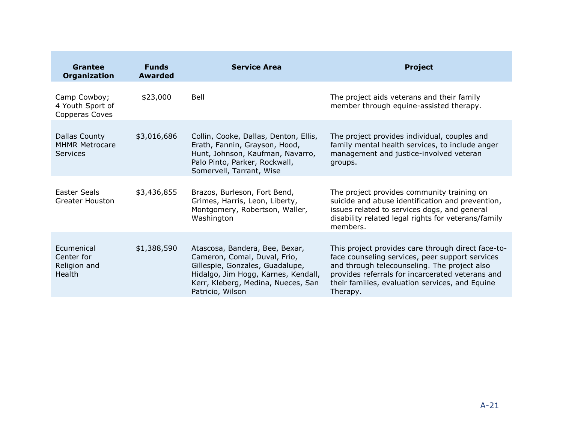| Grantee<br><b>Organization</b>                            | <b>Funds</b><br><b>Awarded</b> | <b>Service Area</b>                                                                                                                                                                                | <b>Project</b>                                                                                                                                                                                                                                                           |  |
|-----------------------------------------------------------|--------------------------------|----------------------------------------------------------------------------------------------------------------------------------------------------------------------------------------------------|--------------------------------------------------------------------------------------------------------------------------------------------------------------------------------------------------------------------------------------------------------------------------|--|
| Camp Cowboy;<br>4 Youth Sport of<br>Copperas Coves        | \$23,000                       | Bell                                                                                                                                                                                               | The project aids veterans and their family<br>member through equine-assisted therapy.                                                                                                                                                                                    |  |
| Dallas County<br><b>MHMR Metrocare</b><br><b>Services</b> | \$3,016,686                    | Collin, Cooke, Dallas, Denton, Ellis,<br>Erath, Fannin, Grayson, Hood,<br>Hunt, Johnson, Kaufman, Navarro,<br>Palo Pinto, Parker, Rockwall,<br>Somervell, Tarrant, Wise                            | The project provides individual, couples and<br>family mental health services, to include anger<br>management and justice-involved veteran<br>groups.                                                                                                                    |  |
| Easter Seals<br>Greater Houston                           | \$3,436,855                    | Brazos, Burleson, Fort Bend,<br>Grimes, Harris, Leon, Liberty,<br>Montgomery, Robertson, Waller,<br>Washington                                                                                     | The project provides community training on<br>suicide and abuse identification and prevention,<br>issues related to services dogs, and general<br>disability related legal rights for veterans/family<br>members.                                                        |  |
| Ecumenical<br>Center for<br>Religion and<br>Health        | \$1,388,590                    | Atascosa, Bandera, Bee, Bexar,<br>Cameron, Comal, Duval, Frio,<br>Gillespie, Gonzales, Guadalupe,<br>Hidalgo, Jim Hogg, Karnes, Kendall,<br>Kerr, Kleberg, Medina, Nueces, San<br>Patricio, Wilson | This project provides care through direct face-to-<br>face counseling services, peer support services<br>and through telecounseling. The project also<br>provides referrals for incarcerated veterans and<br>their families, evaluation services, and Equine<br>Therapy. |  |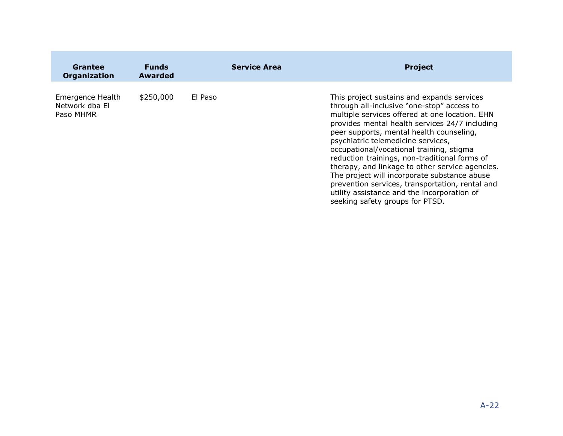| Grantee<br><b>Organization</b>                  | <b>Funds</b><br><b>Awarded</b> |         | <b>Service Area</b> | <b>Project</b>                                                                                                                                                                                                                                                                                                                                                                                                                                                                                                                                                                                                      |
|-------------------------------------------------|--------------------------------|---------|---------------------|---------------------------------------------------------------------------------------------------------------------------------------------------------------------------------------------------------------------------------------------------------------------------------------------------------------------------------------------------------------------------------------------------------------------------------------------------------------------------------------------------------------------------------------------------------------------------------------------------------------------|
| Emergence Health<br>Network dba El<br>Paso MHMR | \$250,000                      | El Paso |                     | This project sustains and expands services<br>through all-inclusive "one-stop" access to<br>multiple services offered at one location. EHN<br>provides mental health services 24/7 including<br>peer supports, mental health counseling,<br>psychiatric telemedicine services,<br>occupational/vocational training, stigma<br>reduction trainings, non-traditional forms of<br>therapy, and linkage to other service agencies.<br>The project will incorporate substance abuse<br>prevention services, transportation, rental and<br>utility assistance and the incorporation of<br>seeking safety groups for PTSD. |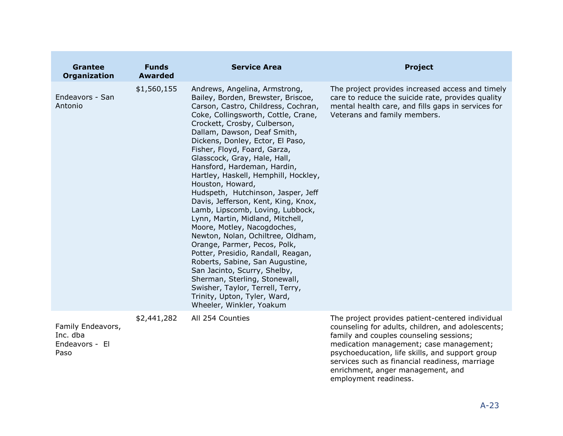| <b>Grantee</b><br><b>Organization</b>                   | <b>Funds</b><br><b>Awarded</b> | <b>Service Area</b>                                                                                                                                                                                                                                                                                                                                                                                                                                                                                                                                                                                                                                                                                                                                                                                                                                                                                                | <b>Project</b>                                                                                                                                                                                                                                                                                                                                                 |
|---------------------------------------------------------|--------------------------------|--------------------------------------------------------------------------------------------------------------------------------------------------------------------------------------------------------------------------------------------------------------------------------------------------------------------------------------------------------------------------------------------------------------------------------------------------------------------------------------------------------------------------------------------------------------------------------------------------------------------------------------------------------------------------------------------------------------------------------------------------------------------------------------------------------------------------------------------------------------------------------------------------------------------|----------------------------------------------------------------------------------------------------------------------------------------------------------------------------------------------------------------------------------------------------------------------------------------------------------------------------------------------------------------|
| Endeavors - San<br>Antonio                              | \$1,560,155                    | Andrews, Angelina, Armstrong,<br>Bailey, Borden, Brewster, Briscoe,<br>Carson, Castro, Childress, Cochran,<br>Coke, Collingsworth, Cottle, Crane,<br>Crockett, Crosby, Culberson,<br>Dallam, Dawson, Deaf Smith,<br>Dickens, Donley, Ector, El Paso,<br>Fisher, Floyd, Foard, Garza,<br>Glasscock, Gray, Hale, Hall,<br>Hansford, Hardeman, Hardin,<br>Hartley, Haskell, Hemphill, Hockley,<br>Houston, Howard,<br>Hudspeth, Hutchinson, Jasper, Jeff<br>Davis, Jefferson, Kent, King, Knox,<br>Lamb, Lipscomb, Loving, Lubbock,<br>Lynn, Martin, Midland, Mitchell,<br>Moore, Motley, Nacogdoches,<br>Newton, Nolan, Ochiltree, Oldham,<br>Orange, Parmer, Pecos, Polk,<br>Potter, Presidio, Randall, Reagan,<br>Roberts, Sabine, San Augustine,<br>San Jacinto, Scurry, Shelby,<br>Sherman, Sterling, Stonewall,<br>Swisher, Taylor, Terrell, Terry,<br>Trinity, Upton, Tyler, Ward,<br>Wheeler, Winkler, Yoakum | The project provides increased access and timely<br>care to reduce the suicide rate, provides quality<br>mental health care, and fills gaps in services for<br>Veterans and family members.                                                                                                                                                                    |
| Family Endeavors,<br>Inc. dba<br>Endeavors - El<br>Paso | \$2,441,282                    | All 254 Counties                                                                                                                                                                                                                                                                                                                                                                                                                                                                                                                                                                                                                                                                                                                                                                                                                                                                                                   | The project provides patient-centered individual<br>counseling for adults, children, and adolescents;<br>family and couples counseling sessions;<br>medication management; case management;<br>psychoeducation, life skills, and support group<br>services such as financial readiness, marriage<br>enrichment, anger management, and<br>employment readiness. |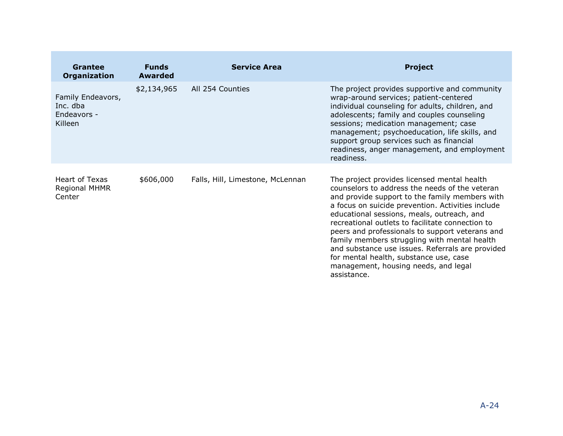| Grantee<br><b>Organization</b>                                 | <b>Funds</b><br><b>Awarded</b> | <b>Service Area</b>              | <b>Project</b>                                                                                                                                                                                                                                                                                                                                                                                                                                                                                                                                                 |
|----------------------------------------------------------------|--------------------------------|----------------------------------|----------------------------------------------------------------------------------------------------------------------------------------------------------------------------------------------------------------------------------------------------------------------------------------------------------------------------------------------------------------------------------------------------------------------------------------------------------------------------------------------------------------------------------------------------------------|
| Family Endeavors,<br>Inc. dba<br>Endeavors -<br><b>Killeen</b> | \$2,134,965                    | All 254 Counties                 | The project provides supportive and community<br>wrap-around services; patient-centered<br>individual counseling for adults, children, and<br>adolescents; family and couples counseling<br>sessions; medication management; case<br>management; psychoeducation, life skills, and<br>support group services such as financial<br>readiness, anger management, and employment<br>readiness.                                                                                                                                                                    |
| Heart of Texas<br>Regional MHMR<br>Center                      | \$606,000                      | Falls, Hill, Limestone, McLennan | The project provides licensed mental health<br>counselors to address the needs of the veteran<br>and provide support to the family members with<br>a focus on suicide prevention. Activities include<br>educational sessions, meals, outreach, and<br>recreational outlets to facilitate connection to<br>peers and professionals to support veterans and<br>family members struggling with mental health<br>and substance use issues. Referrals are provided<br>for mental health, substance use, case<br>management, housing needs, and legal<br>assistance. |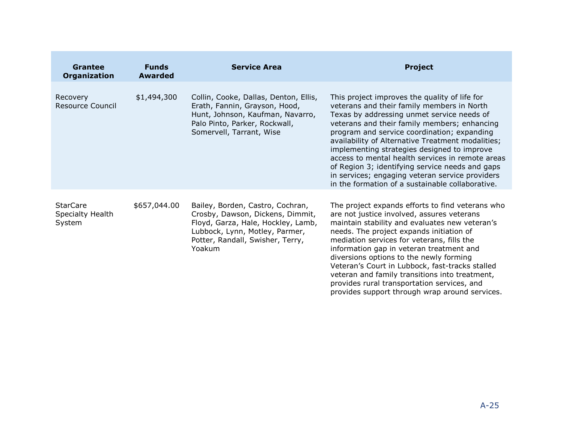| <b>Grantee</b><br><b>Organization</b>         | <b>Funds</b><br><b>Awarded</b> | <b>Service Area</b>                                                                                                                                                                        | <b>Project</b>                                                                                                                                                                                                                                                                                                                                                                                                                                                                                                                                             |
|-----------------------------------------------|--------------------------------|--------------------------------------------------------------------------------------------------------------------------------------------------------------------------------------------|------------------------------------------------------------------------------------------------------------------------------------------------------------------------------------------------------------------------------------------------------------------------------------------------------------------------------------------------------------------------------------------------------------------------------------------------------------------------------------------------------------------------------------------------------------|
| Recovery<br><b>Resource Council</b>           | \$1,494,300                    | Collin, Cooke, Dallas, Denton, Ellis,<br>Erath, Fannin, Grayson, Hood,<br>Hunt, Johnson, Kaufman, Navarro,<br>Palo Pinto, Parker, Rockwall,<br>Somervell, Tarrant, Wise                    | This project improves the quality of life for<br>veterans and their family members in North<br>Texas by addressing unmet service needs of<br>veterans and their family members; enhancing<br>program and service coordination; expanding<br>availability of Alternative Treatment modalities;<br>implementing strategies designed to improve<br>access to mental health services in remote areas<br>of Region 3; identifying service needs and gaps<br>in services; engaging veteran service providers<br>in the formation of a sustainable collaborative. |
| <b>StarCare</b><br>Specialty Health<br>System | \$657,044.00                   | Bailey, Borden, Castro, Cochran,<br>Crosby, Dawson, Dickens, Dimmit,<br>Floyd, Garza, Hale, Hockley, Lamb,<br>Lubbock, Lynn, Motley, Parmer,<br>Potter, Randall, Swisher, Terry,<br>Yoakum | The project expands efforts to find veterans who<br>are not justice involved, assures veterans<br>maintain stability and evaluates new veteran's<br>needs. The project expands initiation of<br>mediation services for veterans, fills the<br>information gap in veteran treatment and<br>diversions options to the newly forming<br>Veteran's Court in Lubbock, fast-tracks stalled<br>veteran and family transitions into treatment,<br>provides rural transportation services, and<br>provides support through wrap around services.                    |